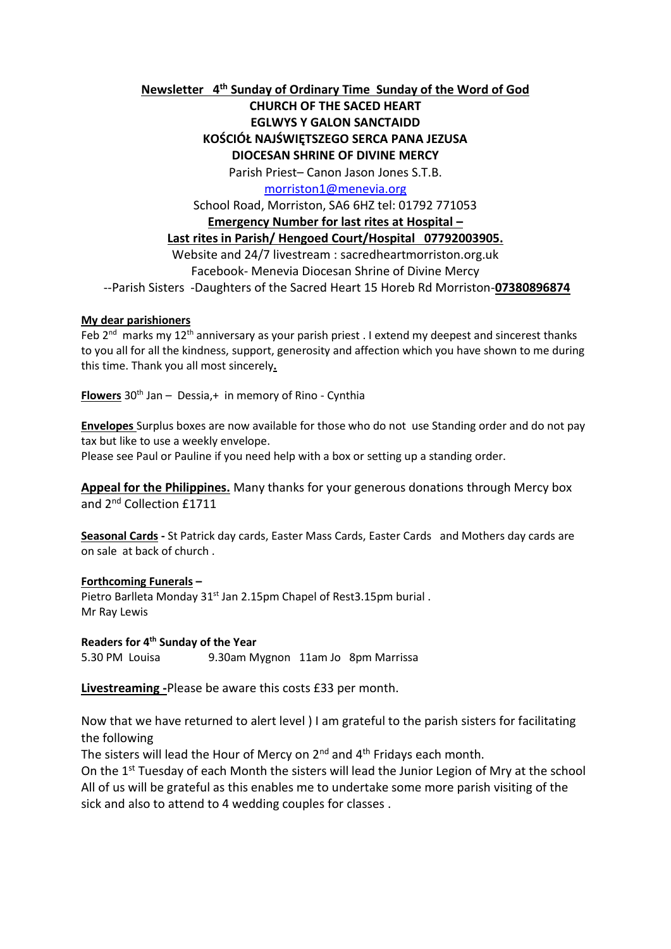**Newsletter 4 th Sunday of Ordinary Time Sunday of the Word of God** 

**CHURCH OF THE SACED HEART EGLWYS Y GALON SANCTAIDD KOŚCIÓŁ NAJŚWIĘTSZEGO SERCA PANA JEZUSA DIOCESAN SHRINE OF DIVINE MERCY**

Parish Priest– Canon Jason Jones S.T.B.

[morriston1@menevia.org](mailto:morriston1@menevia.org)

School Road, Morriston, SA6 6HZ tel: 01792 771053

**Emergency Number for last rites at Hospital –**

### **Last rites in Parish/ Hengoed Court/Hospital 07792003905.**

Website and 24/7 livestream : sacredheartmorriston.org.uk Facebook- Menevia Diocesan Shrine of Divine Mercy

--Parish Sisters -Daughters of the Sacred Heart 15 Horeb Rd Morriston-**07380896874**

#### **My dear parishioners**

Feb  $2^{nd}$  marks my 12<sup>th</sup> anniversary as your parish priest . I extend my deepest and sincerest thanks to you all for all the kindness, support, generosity and affection which you have shown to me during this time. Thank you all most sincerely**.** 

**Flowers** 30<sup>th</sup> Jan – Dessia, + in memory of Rino - Cynthia

**Envelopes** Surplus boxes are now available for those who do not use Standing order and do not pay tax but like to use a weekly envelope.

Please see Paul or Pauline if you need help with a box or setting up a standing order.

**Appeal for the Philippines.** Many thanks for your generous donations through Mercy box and 2<sup>nd</sup> Collection £1711

**Seasonal Cards -** St Patrick day cards, Easter Mass Cards, Easter Cards and Mothers day cards are on sale at back of church .

#### **Forthcoming Funerals –**

Pietro Barlleta Monday 31<sup>st</sup> Jan 2.15pm Chapel of Rest3.15pm burial. Mr Ray Lewis

#### **Readers for 4 th Sunday of the Year**

5.30 PM Louisa 9.30am Mygnon 11am Jo 8pm Marrissa

**Livestreaming -**Please be aware this costs £33 per month.

Now that we have returned to alert level ) I am grateful to the parish sisters for facilitating the following

The sisters will lead the Hour of Mercy on  $2^{nd}$  and  $4^{th}$  Fridays each month.

On the 1<sup>st</sup> Tuesday of each Month the sisters will lead the Junior Legion of Mry at the school All of us will be grateful as this enables me to undertake some more parish visiting of the sick and also to attend to 4 wedding couples for classes .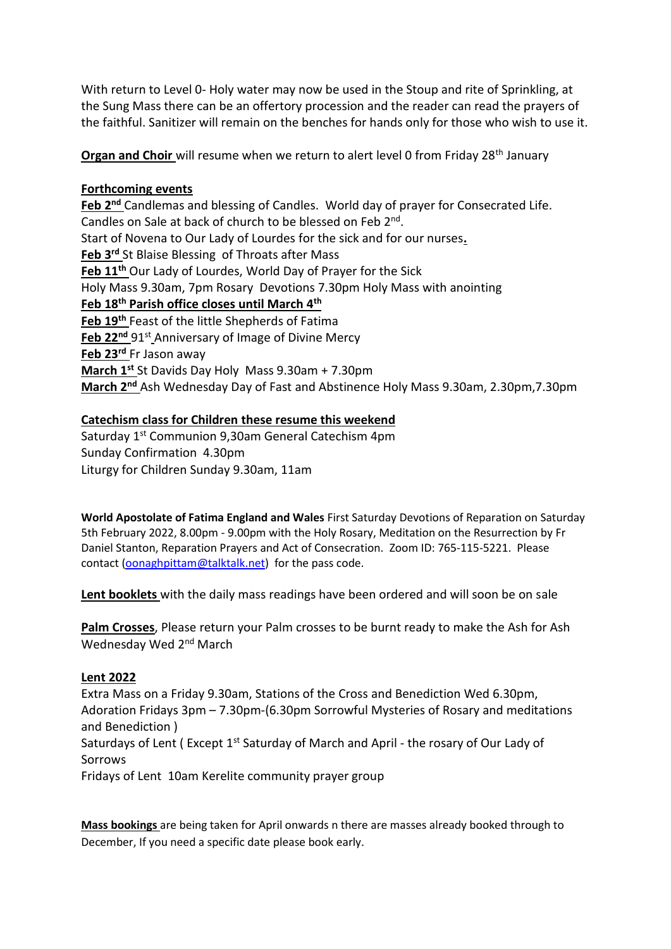With return to Level 0- Holy water may now be used in the Stoup and rite of Sprinkling, at the Sung Mass there can be an offertory procession and the reader can read the prayers of the faithful. Sanitizer will remain on the benches for hands only for those who wish to use it.

**Organ and Choir** will resume when we return to alert level 0 from Friday 28<sup>th</sup> January

## **Forthcoming events**

**Feb 2nd** Candlemas and blessing of Candles. World day of prayer for Consecrated Life. Candles on Sale at back of church to be blessed on Feb 2<sup>nd</sup>. Start of Novena to Our Lady of Lourdes for the sick and for our nurses**. Feb 3rd** St Blaise Blessing of Throats after Mass **Feb 11th** Our Lady of Lourdes, World Day of Prayer for the Sick Holy Mass 9.30am, 7pm Rosary Devotions 7.30pm Holy Mass with anointing **Feb 18th Parish office closes until March 4th Feb 19th** Feast of the little Shepherds of Fatima Feb 22<sup>nd</sup> 91<sup>st</sup> Anniversary of Image of Divine Mercy **Feb 23rd** Fr Jason away **March 1st** St Davids Day Holy Mass 9.30am + 7.30pm **March 2nd** Ash Wednesday Day of Fast and Abstinence Holy Mass 9.30am, 2.30pm,7.30pm

## **Catechism class for Children these resume this weekend**

Saturday 1st Communion 9,30am General Catechism 4pm Sunday Confirmation 4.30pm Liturgy for Children Sunday 9.30am, 11am

**World Apostolate of Fatima England and Wales** First Saturday Devotions of Reparation on Saturday 5th February 2022, 8.00pm - 9.00pm with the Holy Rosary, Meditation on the Resurrection by Fr Daniel Stanton, Reparation Prayers and Act of Consecration. Zoom ID: 765-115-5221. Please contact [\(oonaghpittam@talktalk.net\)](mailto:oonaghpittam@talktalk.net) for the pass code.

**Lent booklets** with the daily mass readings have been ordered and will soon be on sale

**Palm Crosses**, Please return your Palm crosses to be burnt ready to make the Ash for Ash Wednesday Wed 2<sup>nd</sup> March

### **Lent 2022**

Extra Mass on a Friday 9.30am, Stations of the Cross and Benediction Wed 6.30pm, Adoration Fridays 3pm – 7.30pm-(6.30pm Sorrowful Mysteries of Rosary and meditations and Benediction )

Saturdays of Lent (Except 1<sup>st</sup> Saturday of March and April - the rosary of Our Lady of Sorrows

Fridays of Lent 10am Kerelite community prayer group

**Mass bookings** are being taken for April onwards n there are masses already booked through to December, If you need a specific date please book early.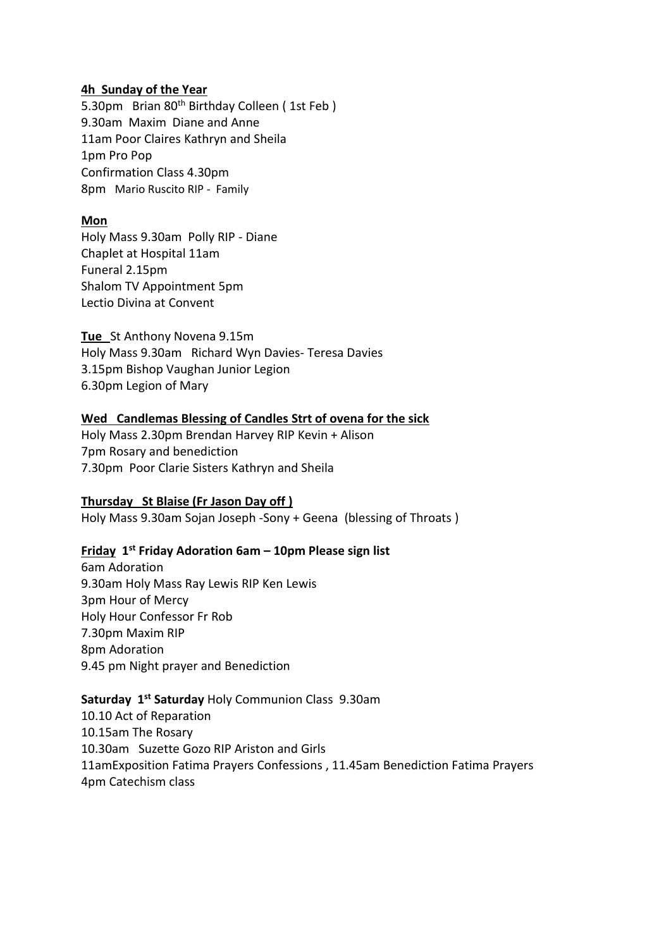### **4h Sunday of the Year**

5.30pm Brian 80<sup>th</sup> Birthday Colleen (1st Feb) 9.30am Maxim Diane and Anne 11am Poor Claires Kathryn and Sheila 1pm Pro Pop Confirmation Class 4.30pm 8pm Mario Ruscito RIP - Family

### **Mon**

Holy Mass 9.30am Polly RIP - Diane Chaplet at Hospital 11am Funeral 2.15pm Shalom TV Appointment 5pm Lectio Divina at Convent

**Tue** St Anthony Novena 9.15m Holy Mass 9.30am Richard Wyn Davies- Teresa Davies 3.15pm Bishop Vaughan Junior Legion 6.30pm Legion of Mary

## **Wed Candlemas Blessing of Candles Strt of ovena for the sick**

Holy Mass 2.30pm Brendan Harvey RIP Kevin + Alison 7pm Rosary and benediction 7.30pm Poor Clarie Sisters Kathryn and Sheila

### **Thursday St Blaise (Fr Jason Day off )**

Holy Mass 9.30am Sojan Joseph -Sony + Geena (blessing of Throats )

### **Friday 1 st Friday Adoration 6am – 10pm Please sign list**

6am Adoration 9.30am Holy Mass Ray Lewis RIP Ken Lewis 3pm Hour of Mercy Holy Hour Confessor Fr Rob 7.30pm Maxim RIP 8pm Adoration 9.45 pm Night prayer and Benediction

## Saturday 1<sup>st</sup> Saturday Holy Communion Class 9.30am

10.10 Act of Reparation 10.15am The Rosary 10.30am Suzette Gozo RIP Ariston and Girls 11amExposition Fatima Prayers Confessions , 11.45am Benediction Fatima Prayers 4pm Catechism class